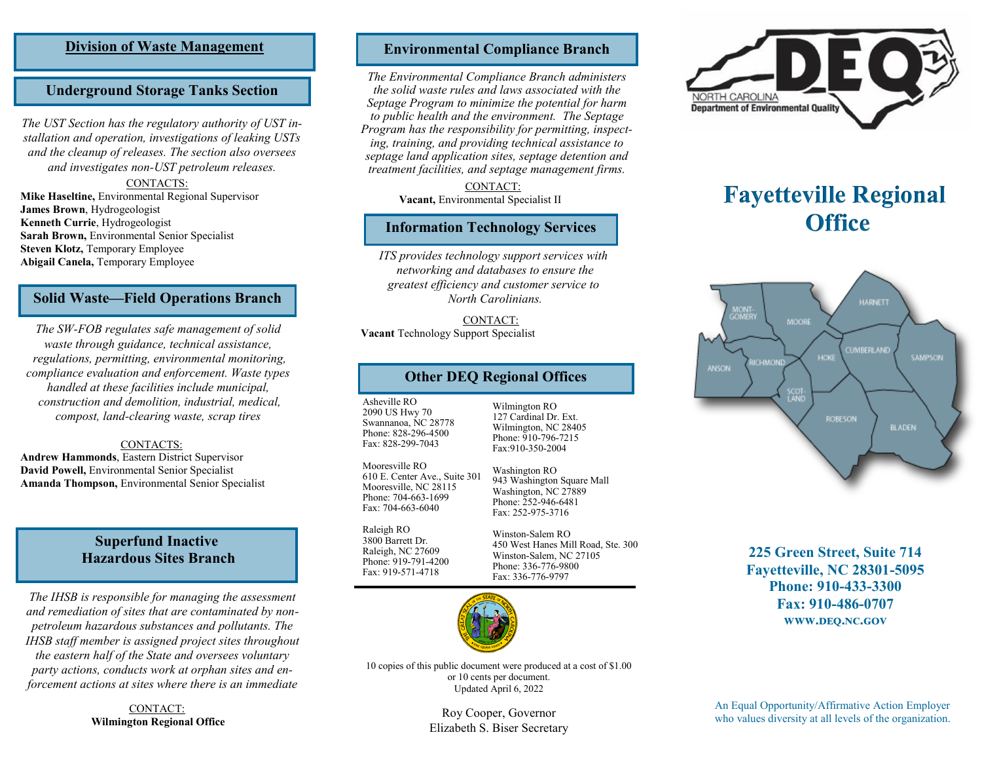## **Division of Waste Management**

# **Underground Storage Tanks Section**

*The UST Section has the regulatory authority of UST installation and operation, investigations of leaking USTs and the cleanup of releases. The section also oversees and investigates non-UST petroleum releases.*

#### CONTACTS:

**Mike Haseltine,** Environmental Regional Supervisor **James Brown**, Hydrogeologist **Kenneth Currie**, Hydrogeologist **Sarah Brown,** Environmental Senior Specialist **Steven Klotz,** Temporary Employee **Abigail Canela,** Temporary Employee

#### **Solid Waste—Field Operations Branch**

*The SW-FOB regulates safe management of solid waste through guidance, technical assistance, regulations, permitting, environmental monitoring, compliance evaluation and enforcement. Waste types handled at these facilities include municipal, construction and demolition, industrial, medical, compost, land-clearing waste, scrap tires*

#### CONTACTS:

**Andrew Hammonds**, Eastern District Supervisor **David Powell,** Environmental Senior Specialist **Amanda Thompson,** Environmental Senior Specialist

# **Superfund Inactive Hazardous Sites Branch**

*The IHSB is responsible for managing the assessment and remediation of sites that are contaminated by nonpetroleum hazardous substances and pollutants. The IHSB staff member is assigned project sites throughout the eastern half of the State and oversees voluntary party actions, conducts work at orphan sites and enforcement actions at sites where there is an immediate* 

> CONTACT: **Wilmington Regional Office**

# **Environmental Compliance Branch**

*The Environmental Compliance Branch administers the solid waste rules and laws associated with the Septage Program to minimize the potential for harm to public health and the environment. The Septage Program has the responsibility for permitting, inspecting, training, and providing technical assistance to septage land application sites, septage detention and treatment facilities, and septage management firms.*

> CONTACT: **Vacant,** Environmental Specialist II

#### **Information Technology Services**

*ITS provides technology support services with networking and databases to ensure the greatest efficiency and customer service to North Carolinians.* 

CONTACT: **Vacant** Technology Support Specialist

## **Other DEQ Regional Offices**

Asheville RO 2090 US Hwy 70 Swannanoa, NC 28778 Phone: 828-296-4500 Fax: 828-299-7043

Mooresville RO 610 E. Center Ave., Suite 301 Mooresville, NC 28115 Phone: 704-663-1699 Fax: 704-663-6040

Raleigh RO 3800 Barrett Dr. Raleigh, NC 27609 Phone: 919-791-4200 Fax: 919-571-4718

127 Cardinal Dr. Ext. Wilmington, NC 28405 Phone: 910-796-7215 Fax:910-350-2004

Wilmington RO

Washington RO 943 Washington Square Mall Washington, NC 27889 Phone: 252-946-6481 Fax: 252-975-3716

Winston-Salem RO 450 West Hanes Mill Road, Ste. 300 Winston-Salem, NC 27105 Phone: 336-776-9800 Fax: 336-776-9797



10 copies of this public document were produced at a cost of \$1.00 or 10 cents per document. Updated April 6, 2022

> Roy Cooper, Governor Elizabeth S. Biser Secretary



# **Fayetteville Regional Office**



**225 Green Street, Suite 714 Fayetteville, NC 28301-5095 Phone: 910-433-3300 Fax: 910-486-0707 www.deq.nc.gov**

An Equal Opportunity/Affirmative Action Employer who values diversity at all levels of the organization.